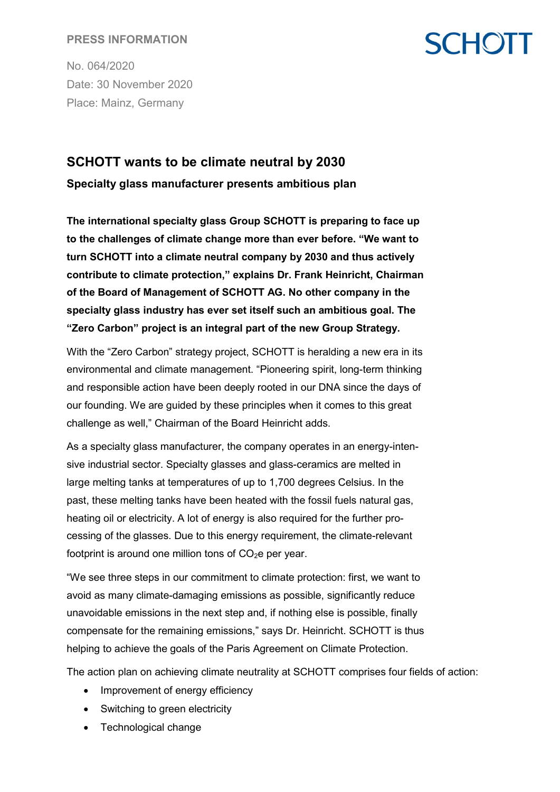#### **PRESS INFORMATION**

No. 064/2020 Date: 30 November 2020 Place: Mainz, Germany

### **SCHOTT**

### **SCHOTT wants to be climate neutral by 2030 Specialty glass manufacturer presents ambitious plan**

**The international specialty glass Group SCHOTT is preparing to face up to the challenges of climate change more than ever before. "We want to turn SCHOTT into a climate neutral company by 2030 and thus actively contribute to climate protection," explains Dr. Frank Heinricht, Chairman of the Board of Management of SCHOTT AG. No other company in the specialty glass industry has ever set itself such an ambitious goal. The "Zero Carbon" project is an integral part of the new Group Strategy.** 

With the "Zero Carbon" strategy project, SCHOTT is heralding a new era in its environmental and climate management. "Pioneering spirit, long-term thinking and responsible action have been deeply rooted in our DNA since the days of our founding. We are guided by these principles when it comes to this great challenge as well," Chairman of the Board Heinricht adds.

As a specialty glass manufacturer, the company operates in an energy-intensive industrial sector. Specialty glasses and glass-ceramics are melted in large melting tanks at temperatures of up to 1,700 degrees Celsius. In the past, these melting tanks have been heated with the fossil fuels natural gas, heating oil or electricity. A lot of energy is also required for the further processing of the glasses. Due to this energy requirement, the climate-relevant footprint is around one million tons of  $CO<sub>2</sub>e$  per year.

"We see three steps in our commitment to climate protection: first, we want to avoid as many climate-damaging emissions as possible, significantly reduce unavoidable emissions in the next step and, if nothing else is possible, finally compensate for the remaining emissions," says Dr. Heinricht. SCHOTT is thus helping to achieve the goals of the Paris Agreement on Climate Protection.

The action plan on achieving climate neutrality at SCHOTT comprises four fields of action:

- Improvement of energy efficiency
- Switching to green electricity
- Technological change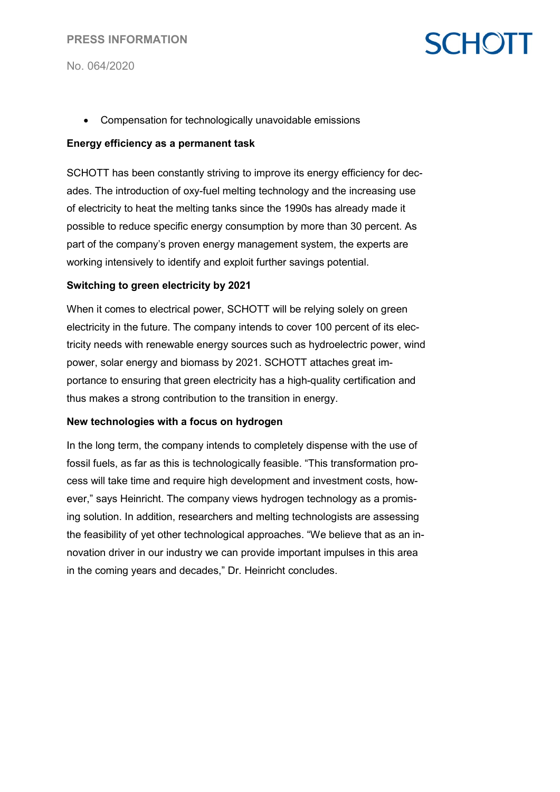#### **PRESS INFORMATION**

No. 064/2020

## **SCHOTT**

• Compensation for technologically unavoidable emissions

#### **Energy efficiency as a permanent task**

SCHOTT has been constantly striving to improve its energy efficiency for decades. The introduction of oxy-fuel melting technology and the increasing use of electricity to heat the melting tanks since the 1990s has already made it possible to reduce specific energy consumption by more than 30 percent. As part of the company's proven energy management system, the experts are working intensively to identify and exploit further savings potential.

#### **Switching to green electricity by 2021**

When it comes to electrical power, SCHOTT will be relying solely on green electricity in the future. The company intends to cover 100 percent of its electricity needs with renewable energy sources such as hydroelectric power, wind power, solar energy and biomass by 2021. SCHOTT attaches great importance to ensuring that green electricity has a high-quality certification and thus makes a strong contribution to the transition in energy.

#### **New technologies with a focus on hydrogen**

In the long term, the company intends to completely dispense with the use of fossil fuels, as far as this is technologically feasible. "This transformation process will take time and require high development and investment costs, however," says Heinricht. The company views hydrogen technology as a promising solution. In addition, researchers and melting technologists are assessing the feasibility of yet other technological approaches. "We believe that as an innovation driver in our industry we can provide important impulses in this area in the coming years and decades," Dr. Heinricht concludes.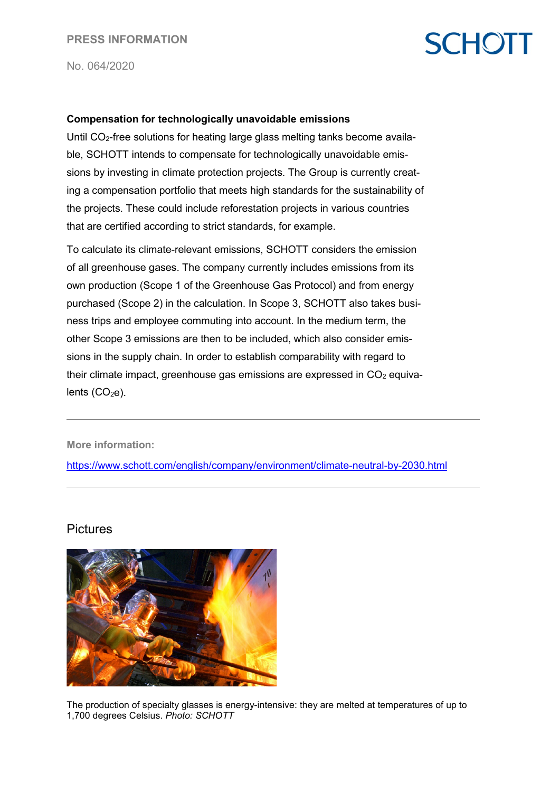# **SCHOTT**

No. 064/2020

#### **Compensation for technologically unavoidable emissions**

Until CO<sub>2</sub>-free solutions for heating large glass melting tanks become available, SCHOTT intends to compensate for technologically unavoidable emissions by investing in climate protection projects. The Group is currently creating a compensation portfolio that meets high standards for the sustainability of the projects. These could include reforestation projects in various countries that are certified according to strict standards, for example.

To calculate its climate-relevant emissions, SCHOTT considers the emission of all greenhouse gases. The company currently includes emissions from its own production (Scope 1 of the Greenhouse Gas Protocol) and from energy purchased (Scope 2) in the calculation. In Scope 3, SCHOTT also takes business trips and employee commuting into account. In the medium term, the other Scope 3 emissions are then to be included, which also consider emissions in the supply chain. In order to establish comparability with regard to their climate impact, greenhouse gas emissions are expressed in  $CO<sub>2</sub>$  equivalents  $(CO<sub>2</sub>e)$ .

**More information:**

<https://www.schott.com/english/company/environment/climate-neutral-by-2030.html>

#### **Pictures**



The production of specialty glasses is energy-intensive: they are melted at temperatures of up to 1,700 degrees Celsius. *Photo: SCHOTT*